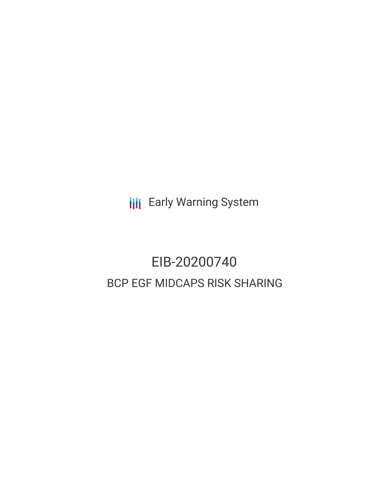**III** Early Warning System

# EIB-20200740 BCP EGF MIDCAPS RISK SHARING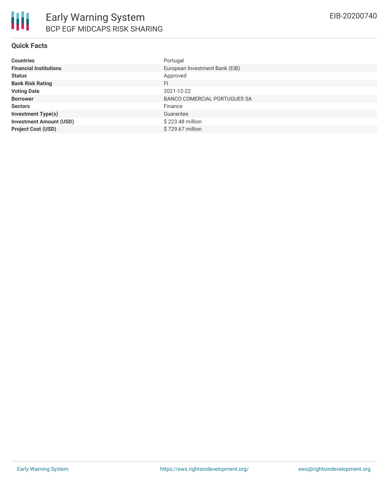| <b>Countries</b>               | Portugal                       |
|--------------------------------|--------------------------------|
| <b>Financial Institutions</b>  | European Investment Bank (EIB) |
| <b>Status</b>                  | Approved                       |
| <b>Bank Risk Rating</b>        | FI                             |
| <b>Voting Date</b>             | 2021-12-22                     |
| <b>Borrower</b>                | BANCO COMERCIAL PORTUGUES SA   |
| <b>Sectors</b>                 | Finance                        |
| <b>Investment Type(s)</b>      | Guarantee                      |
| <b>Investment Amount (USD)</b> | \$223.48 million               |
| <b>Project Cost (USD)</b>      | \$729.67 million               |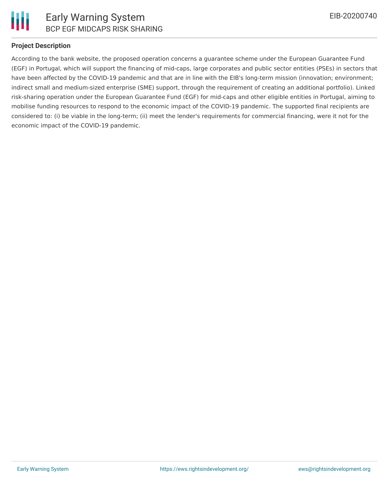

# **Project Description**

According to the bank website, the proposed operation concerns a guarantee scheme under the European Guarantee Fund (EGF) in Portugal, which will support the financing of mid-caps, large corporates and public sector entities (PSEs) in sectors that have been affected by the COVID-19 pandemic and that are in line with the EIB's long-term mission (innovation; environment; indirect small and medium-sized enterprise (SME) support, through the requirement of creating an additional portfolio). Linked risk-sharing operation under the European Guarantee Fund (EGF) for mid-caps and other eligible entities in Portugal, aiming to mobilise funding resources to respond to the economic impact of the COVID-19 pandemic. The supported final recipients are considered to: (i) be viable in the long-term; (ii) meet the lender's requirements for commercial financing, were it not for the economic impact of the COVID-19 pandemic.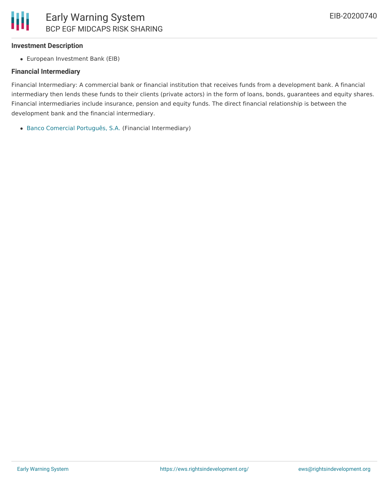### **Investment Description**

European Investment Bank (EIB)

#### **Financial Intermediary**

Financial Intermediary: A commercial bank or financial institution that receives funds from a development bank. A financial intermediary then lends these funds to their clients (private actors) in the form of loans, bonds, guarantees and equity shares. Financial intermediaries include insurance, pension and equity funds. The direct financial relationship is between the development bank and the financial intermediary.

Banco Comercial [Português,](file:///actor/141/) S.A. (Financial Intermediary)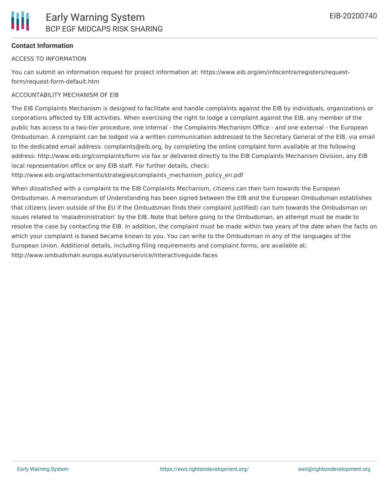# **Contact Information**

#### ACCESS TO INFORMATION

You can submit an information request for project information at: https://www.eib.org/en/infocentre/registers/requestform/request-form-default.htm

#### ACCOUNTABILITY MECHANISM OF EIB

The EIB Complaints Mechanism is designed to facilitate and handle complaints against the EIB by individuals, organizations or corporations affected by EIB activities. When exercising the right to lodge a complaint against the EIB, any member of the public has access to a two-tier procedure, one internal - the Complaints Mechanism Office - and one external - the European Ombudsman. A complaint can be lodged via a written communication addressed to the Secretary General of the EIB, via email to the dedicated email address: complaints@eib.org, by completing the online complaint form available at the following address: http://www.eib.org/complaints/form via fax or delivered directly to the EIB Complaints Mechanism Division, any EIB local representation office or any EIB staff. For further details, check:

http://www.eib.org/attachments/strategies/complaints\_mechanism\_policy\_en.pdf

When dissatisfied with a complaint to the EIB Complaints Mechanism, citizens can then turn towards the European Ombudsman. A memorandum of Understanding has been signed between the EIB and the European Ombudsman establishes that citizens (even outside of the EU if the Ombudsman finds their complaint justified) can turn towards the Ombudsman on issues related to 'maladministration' by the EIB. Note that before going to the Ombudsman, an attempt must be made to resolve the case by contacting the EIB. In addition, the complaint must be made within two years of the date when the facts on which your complaint is based became known to you. You can write to the Ombudsman in any of the languages of the European Union. Additional details, including filing requirements and complaint forms, are available at: http://www.ombudsman.europa.eu/atyourservice/interactiveguide.faces